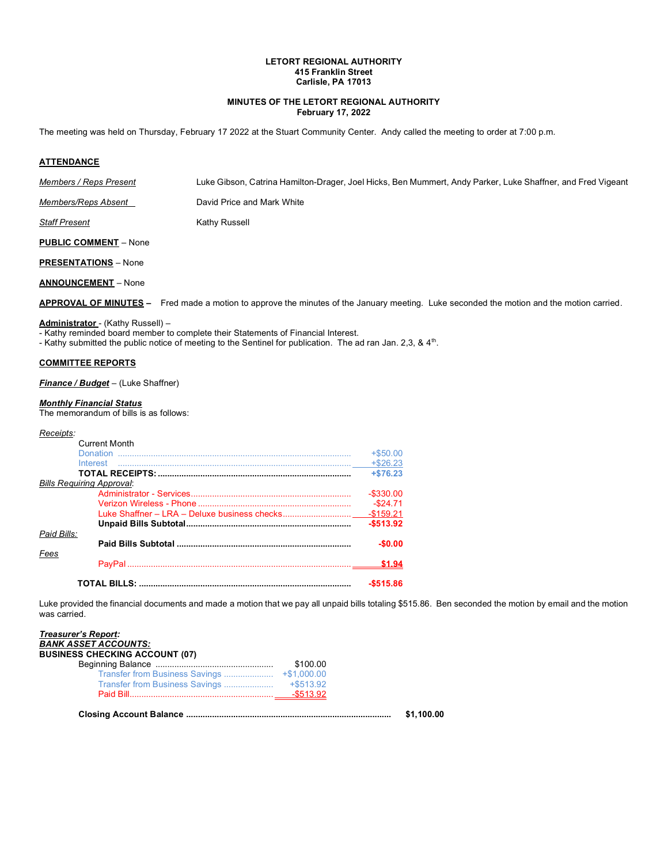### **LETORT REGIONAL AUTHORITY 415 Franklin Street Carlisle, PA 17013**

### **MINUTES OF THE LETORT REGIONAL AUTHORITY February 17, 2022**

The meeting was held on Thursday, February 17 2022 at the Stuart Community Center. Andy called the meeting to order at 7:00 p.m*.*

### **ATTENDANCE**

*Members / Reps Present* Luke Gibson, Catrina Hamilton-Drager, Joel Hicks, Ben Mummert, Andy Parker, Luke Shaffner, and Fred Vigeant

*Members/Reps Absent* David Price and Mark White

**Staff Present** Kathy Russell

**PUBLIC COMMENT** – None

**PRESENTATIONS** – None

**ANNOUNCEMENT** – None

**APPROVAL OF MINUTES –** Fred made a motion to approve the minutes of the January meeting. Luke seconded the motion and the motion carried.

# **Administrator** - (Kathy Russell) –

- Kathy reminded board member to complete their Statements of Financial Interest.

- Kathy submitted the public notice of meeting to the Sentinel for publication. The ad ran Jan. 2,3, & 4<sup>th</sup>.

#### **COMMITTEE REPORTS**

*Finance / Budget* – (Luke Shaffner)

#### *Monthly Financial Status*

The memorandum of bills is as follows:

#### *Receipts:*

|                                  | <b>Current Month</b> |              |
|----------------------------------|----------------------|--------------|
|                                  |                      | $+ $50.00$   |
|                                  |                      | $+ $26.23$   |
|                                  |                      | $+ $76.23$   |
| <b>Bills Requiring Approval:</b> |                      |              |
|                                  |                      | $-$ \$330.00 |
|                                  |                      | $-$ \$24.71  |
|                                  |                      |              |
|                                  |                      | $-$513.92$   |
| Paid Bills:                      |                      | $-$0.00$     |
| Fees                             |                      | \$1.94       |
|                                  |                      | $-$515.86$   |

Luke provided the financial documents and made a motion that we pay all unpaid bills totaling \$515.86. Ben seconded the motion by email and the motion was carried.

| <b>BANK ASSET ACCOUNTS:</b><br><b>BUSINESS CHECKING ACCOUNT (07)</b> |          |            |
|----------------------------------------------------------------------|----------|------------|
|                                                                      | \$100.00 |            |
|                                                                      |          |            |
|                                                                      |          |            |
|                                                                      |          |            |
|                                                                      |          | \$1.100.00 |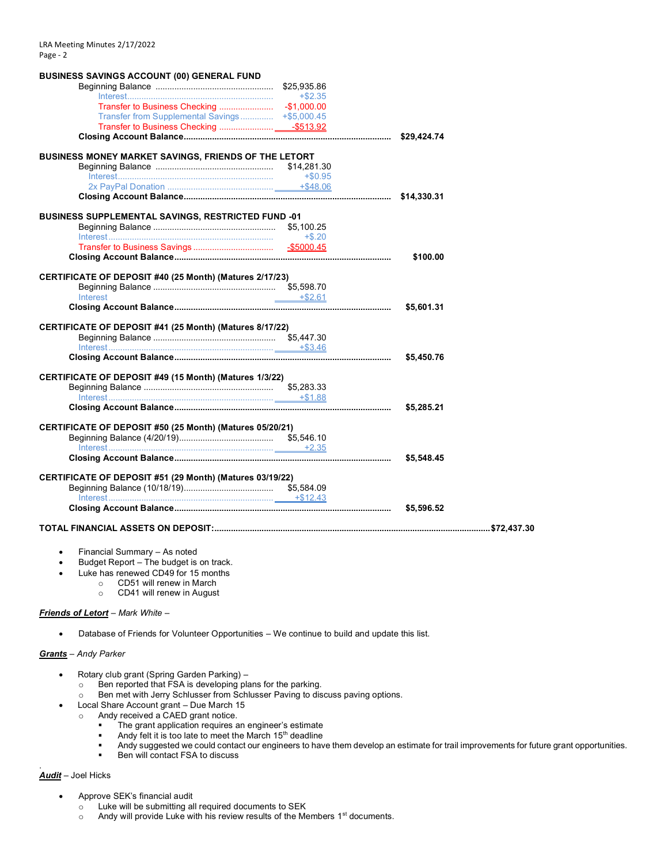| <b>BUSINESS SAVINGS ACCOUNT (00) GENERAL FUND</b>                                  |            |            |
|------------------------------------------------------------------------------------|------------|------------|
|                                                                                    |            |            |
|                                                                                    | $+$ \$2.35 |            |
|                                                                                    |            |            |
| Transfer from Supplemental Savings +\$5,000.45                                     |            |            |
|                                                                                    |            |            |
|                                                                                    |            |            |
| BUSINESS MONEY MARKET SAVINGS, FRIENDS OF THE LETORT                               |            |            |
|                                                                                    |            |            |
| $\text{Interest} \text{} \text{} \text{} \text{} \text{} \text{---} \text{+$0.95}$ |            |            |
|                                                                                    |            |            |
|                                                                                    |            |            |
|                                                                                    |            |            |
| <b>BUSINESS SUPPLEMENTAL SAVINGS, RESTRICTED FUND -01</b>                          |            |            |
|                                                                                    | $+$ \$.20  |            |
|                                                                                    |            |            |
|                                                                                    |            |            |
|                                                                                    |            | \$100.00   |
| CERTIFICATE OF DEPOSIT #40 (25 Month) (Matures 2/17/23)                            |            |            |
|                                                                                    |            |            |
| Interest                                                                           | $+ $2.61$  |            |
|                                                                                    |            | \$5,601.31 |
| CERTIFICATE OF DEPOSIT #41 (25 Month) (Matures 8/17/22)                            |            |            |
|                                                                                    |            |            |
|                                                                                    |            |            |
|                                                                                    |            | \$5,450.76 |
| CERTIFICATE OF DEPOSIT #49 (15 Month) (Matures 1/3/22)                             |            |            |
|                                                                                    | \$5,283.33 |            |
|                                                                                    |            |            |
|                                                                                    |            | \$5,285.21 |
| CERTIFICATE OF DEPOSIT #50 (25 Month) (Matures 05/20/21)                           |            |            |
|                                                                                    |            |            |
|                                                                                    |            |            |
|                                                                                    |            | \$5,548.45 |
| CERTIFICATE OF DEPOSIT #51 (29 Month) (Matures 03/19/22)                           |            |            |
|                                                                                    |            |            |
|                                                                                    |            |            |
|                                                                                    |            | \$5,596.52 |
|                                                                                    |            |            |
|                                                                                    |            |            |
|                                                                                    |            |            |
| Financial Summary - As noted                                                       |            |            |

- Financial Summary As noted
- Budget Report The budget is on track.
- Luke has renewed CD49 for 15 months
	- o CD51 will renew in March
		- o CD41 will renew in August

#### *Friends of Letort* – *Mark White* –

• Database of Friends for Volunteer Opportunities – We continue to build and update this list.

## *Grants* – *Andy Parker*

- Rotary club grant (Spring Garden Parking)
	- o Ben reported that FSA is developing plans for the parking.
	- o Ben met with Jerry Schlusser from Schlusser Paving to discuss paving options.
	- Local Share Account grant Due March 15
	- o Andy received a CAED grant notice.
		- **•** The grant application requires an engineer's estimate
		- **■** Andy felt it is too late to meet the March 15<sup>th</sup> deadline
		- Andy suggested we could contact our engineers to have them develop an estimate for trail improvements for future grant opportunities.<br>■ Ben will contact FSA to discuss
		- Ben will contact FSA to discuss

### *Audit* – Joel Hicks

.

- Approve SEK's financial audit
	- o Luke will be submitting all required documents to SEK
	- $\circ$  Andy will provide Luke with his review results of the Members 1<sup>st</sup> documents.